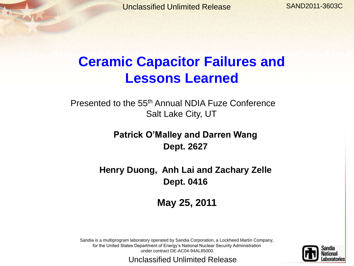SAND2011-3603C

### **Ceramic Capacitor Failures and Lessons Learned**

Presented to the 55th Annual NDIA Fuze Conference Salt Lake City, UT

> **Patrick O'Malley and Darren Wang Dept. 2627**

**Henry Duong, Anh Lai and Zachary Zelle Dept. 0416**

**May 25, 2011**

Sandia is a multiprogram laboratory operated by Sandia Corporation, a Lockheed Martin Company, for the United States Department of Energy's National Nuclear Security Administration under contract DE-AC04-94AL85000.

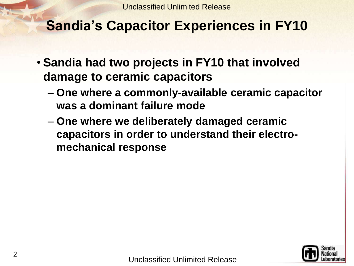## **Sandia's Capacitor Experiences in FY10**

- **Sandia had two projects in FY10 that involved damage to ceramic capacitors**
	- **One where a commonly-available ceramic capacitor was a dominant failure mode**
	- **One where we deliberately damaged ceramic capacitors in order to understand their electromechanical response**

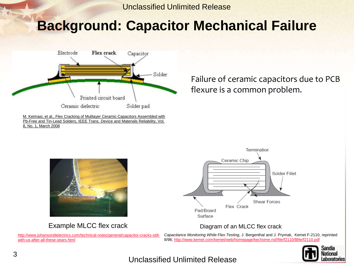### **Background: Capacitor Mechanical Failure**



M. Keimasi, et al., Flex Cracking of Mulilayer Ceramic Capacitors Assembled with Pb-Free and Tin-Lead Solders, IEEE Trans. Device and Materials Reliability, Vol. 8, No. 1, March 2008

Failure of ceramic capacitors due to PCB flexure is a common problem.



Example MLCC flex crack Diagram of an MLCC flex crack

[http://www.johansondielectrics.com/technical-notes/general/capacitor-cracks-still](http://www.johansondielectrics.com/technical-notes/general/capacitor-cracks-still-with-us-after-all-these-years.html)[with-us-after-all-these-years.html](http://www.johansondielectrics.com/technical-notes/general/capacitor-cracks-still-with-us-after-all-these-years.html)



*Capacitance Monitoring While Flex Testing*, J. Bergenthal and J. Prymak, Kemet F-2110, reprinted 8/98, [http://www.kemet.com/kemet/web/homepage/kechome.nsf/file/f2110/\\$file/f2110.pdf](http://www.kemet.com/kemet/web/homepage/kechome.nsf/file/f2110/$file/f2110.pdf)

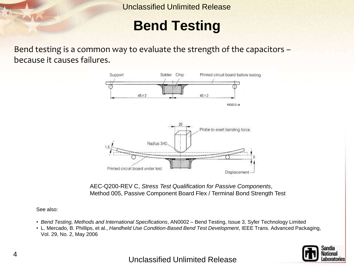## **Bend Testing**

Bend testing is a common way to evaluate the strength of the capacitors – because it causes failures.



AEC-Q200-REV C, *Stress Test Qualification for Passive Components*, Method 005, Passive Component Board Flex / Terminal Bond Strength Test

See also:

- *Bend Testing, Methods and International Specifications*, AN0002 Bend Testing, Issue 3, Syfer Technology Limited
- L. Mercado, B. Phillips, et al., *Handheld Use Condition-Based Bend Test Development*, IEEE Trans. Advanced Packaging, Vol. 29, No. 2, May 2006

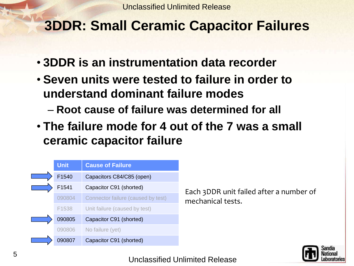## **3DDR: Small Ceramic Capacitor Failures**

- **3DDR is an instrumentation data recorder**
- **Seven units were tested to failure in order to understand dominant failure modes**
	- **Root cause of failure was determined for all**
- **The failure mode for 4 out of the 7 was a small ceramic capacitor failure**



Each 3DDR unit failed after a number of mechanical tests.

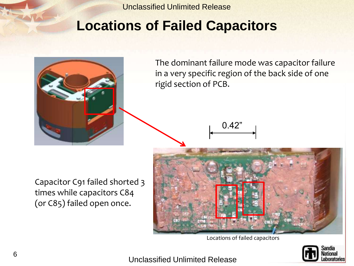## **Locations of Failed Capacitors**



The dominant failure mode was capacitor failure in a very specific region of the back side of one rigid section of PCB.

0.42"

Capacitor C91 failed shorted 3 times while capacitors C84 (or C85) failed open once.



Locations of failed capacitors

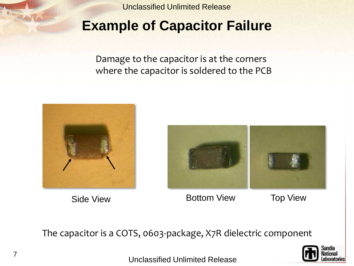## **Example of Capacitor Failure**

Damage to the capacitor is at the corners where the capacitor is soldered to the PCB





Side View **Bottom View** Top View

The capacitor is a COTS, 0603-package, X7R dielectric component

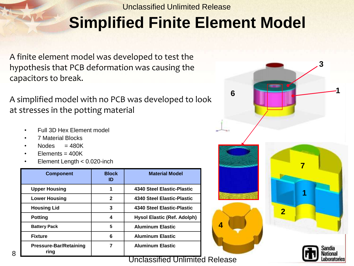# **Simplified Finite Element Model**

A finite element model was developed to test the hypothesis that PCB deformation was causing the capacitors to break.

A simplified model with no PCB was developed to look at stresses in the potting material

- Full 3D Hex Element model
- 7 Material Blocks
- Nodes  $= 480K$
- $Elements = 400K$
- Element Length < 0.020-inch

| <b>Component</b>                      | <b>Block</b><br>ID | <b>Material Model</b>       |
|---------------------------------------|--------------------|-----------------------------|
| <b>Upper Housing</b>                  |                    | 4340 Steel Elastic-Plastic  |
| <b>Lower Housing</b>                  | $\mathbf{2}$       | 4340 Steel Elastic-Plastic  |
| <b>Housing Lid</b>                    | 3                  | 4340 Steel Elastic-Plastic  |
| <b>Potting</b>                        | 4                  | Hysol Elastic (Ref. Adolph) |
| <b>Battery Pack</b>                   | 5                  | <b>Aluminum Elastic</b>     |
| <b>Fixture</b>                        | 6                  | <b>Aluminum Elastic</b>     |
| <b>Pressure-Bar/Retaining</b><br>ring |                    | <b>Aluminum Elastic</b>     |

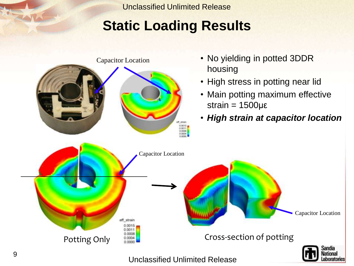## **Static Loading Results**

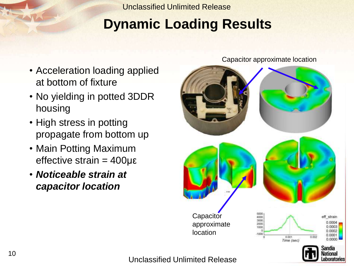# **Dynamic Loading Results**

- Acceleration loading applied at bottom of fixture
- No yielding in potted 3DDR housing
- High stress in potting propagate from bottom up
- Main Potting Maximum effective strain = 400με
- *Noticeable strain at capacitor location*



Capacitor approximate location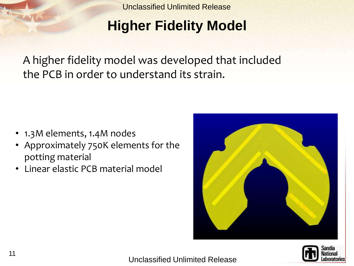# **Higher Fidelity Model**

A higher fidelity model was developed that included the PCB in order to understand its strain.

- 1.3M elements, 1.4M nodes
- Approximately 750K elements for the potting material
- Linear elastic PCB material model



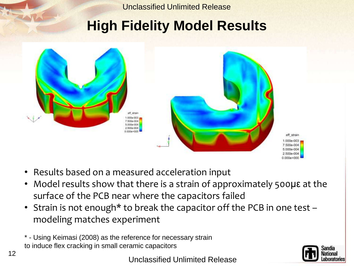## **High Fidelity Model Results**



- Results based on a measured acceleration input
- Model results show that there is a strain of approximately 500με at the surface of the PCB near where the capacitors failed
- Strain is not enough\* to break the capacitor off the PCB in one test modeling matches experiment
- \* Using Keimasi (2008) as the reference for necessary strain to induce flex cracking in small ceramic capacitors

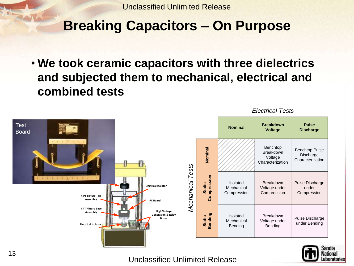## **Breaking Capacitors – On Purpose**

• **We took ceramic capacitors with three dielectrics and subjected them to mechanical, electrical and combined tests**



*Electrical Tests*

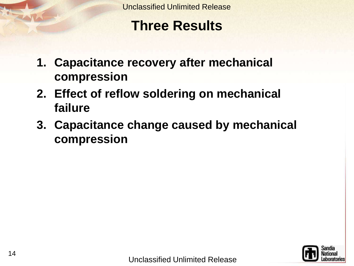## **Three Results**

- **1. Capacitance recovery after mechanical compression**
- **2. Effect of reflow soldering on mechanical failure**
- **3. Capacitance change caused by mechanical compression**

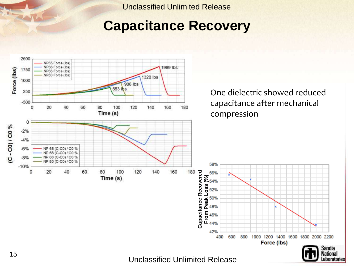### **Capacitance Recovery**

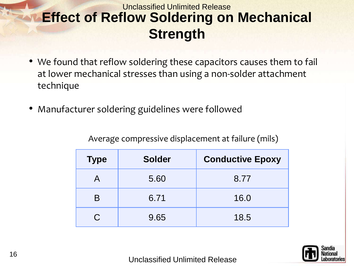#### Unclassified Unlimited Release **Effect of Reflow Soldering on Mechanical Strength**

- We found that reflow soldering these capacitors causes them to fail at lower mechanical stresses than using a non-solder attachment technique
- Manufacturer soldering guidelines were followed

| Average compressive displacement at failure (mils) |  |  |
|----------------------------------------------------|--|--|
|                                                    |  |  |

| <b>Type</b> | <b>Solder</b> | <b>Conductive Epoxy</b> |
|-------------|---------------|-------------------------|
|             | 5.60          | 8.77                    |
| B           | 6.71          | 16.0                    |
| C.          | 9.65          | 18.5                    |

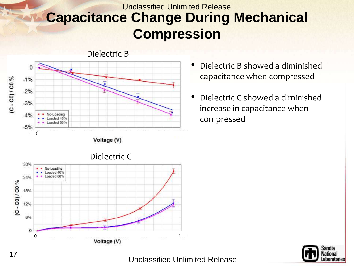#### Unclassified Unlimited Release **Capacitance Change During Mechanical Compression**



Dielectric B

- Dielectric B showed a diminished capacitance when compressed
- Dielectric C showed a diminished increase in capacitance when compressed



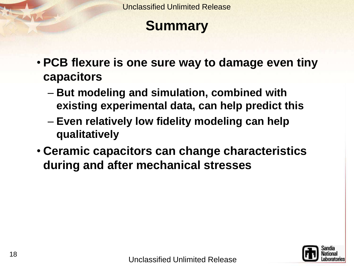## **Summary**

- **PCB flexure is one sure way to damage even tiny capacitors**
	- **But modeling and simulation, combined with existing experimental data, can help predict this**
	- **Even relatively low fidelity modeling can help qualitatively**
- **Ceramic capacitors can change characteristics during and after mechanical stresses**